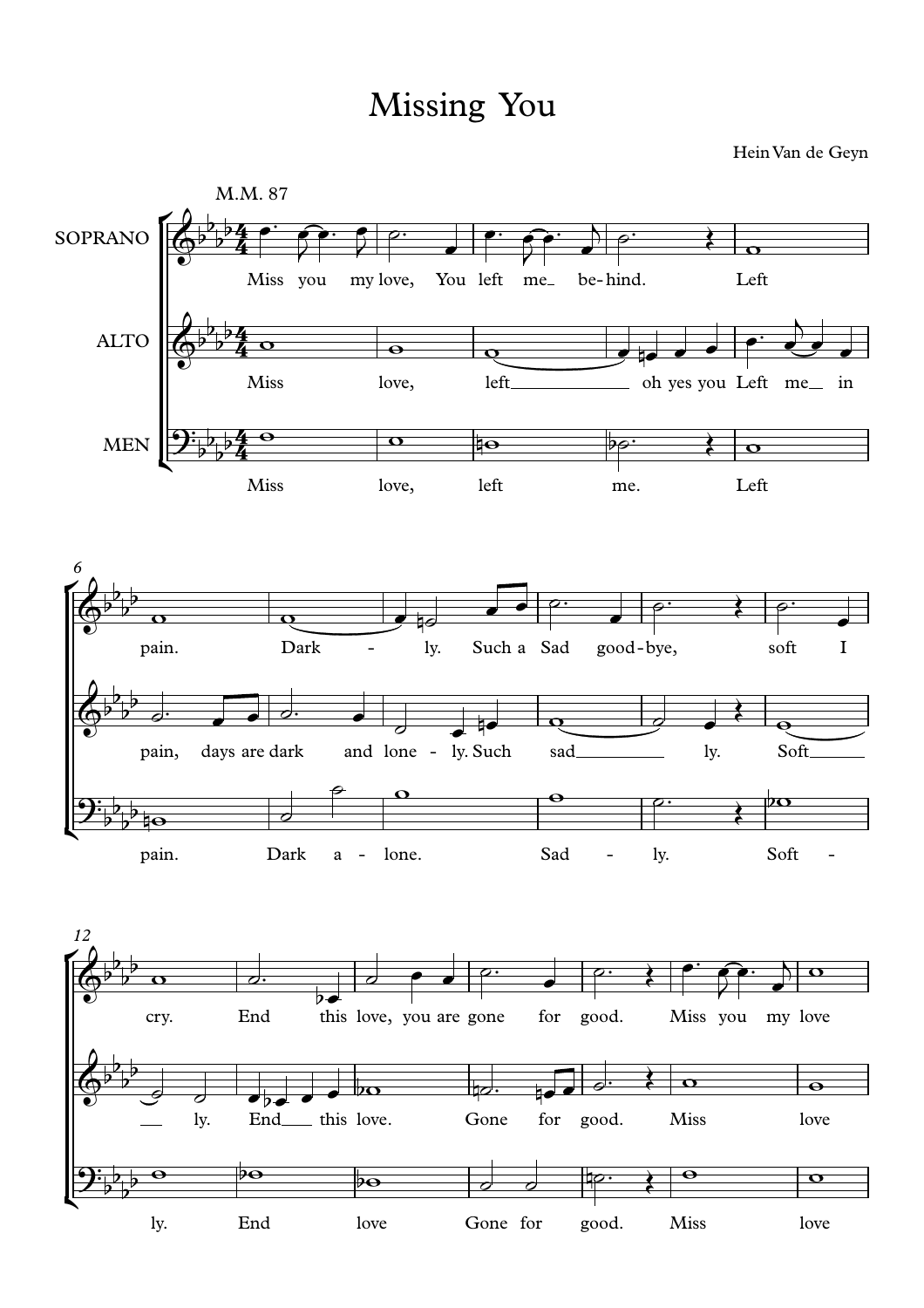## Missing You

Hein Van de Geyn